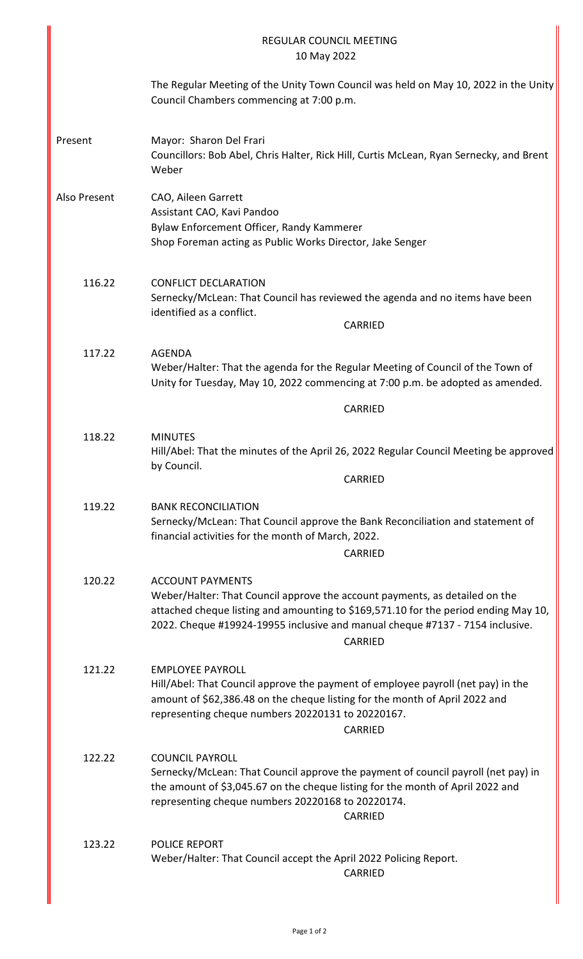|              | <b>REGULAR COUNCIL MEETING</b><br>10 May 2022                                                                                                                                                                                                                                             |
|--------------|-------------------------------------------------------------------------------------------------------------------------------------------------------------------------------------------------------------------------------------------------------------------------------------------|
|              | The Regular Meeting of the Unity Town Council was held on May 10, 2022 in the Unity<br>Council Chambers commencing at 7:00 p.m.                                                                                                                                                           |
| Present      | Mayor: Sharon Del Frari<br>Councillors: Bob Abel, Chris Halter, Rick Hill, Curtis McLean, Ryan Sernecky, and Brent<br>Weber                                                                                                                                                               |
| Also Present | CAO, Aileen Garrett<br>Assistant CAO, Kavi Pandoo<br>Bylaw Enforcement Officer, Randy Kammerer<br>Shop Foreman acting as Public Works Director, Jake Senger                                                                                                                               |
| 116.22       | <b>CONFLICT DECLARATION</b><br>Sernecky/McLean: That Council has reviewed the agenda and no items have been<br>identified as a conflict.<br>CARRIED                                                                                                                                       |
| 117.22       | <b>AGENDA</b><br>Weber/Halter: That the agenda for the Regular Meeting of Council of the Town of<br>Unity for Tuesday, May 10, 2022 commencing at 7:00 p.m. be adopted as amended.                                                                                                        |
|              | <b>CARRIED</b>                                                                                                                                                                                                                                                                            |
| 118.22       | <b>MINUTES</b><br>Hill/Abel: That the minutes of the April 26, 2022 Regular Council Meeting be approved<br>by Council.<br>CARRIED                                                                                                                                                         |
| 119.22       | <b>BANK RECONCILIATION</b><br>Sernecky/McLean: That Council approve the Bank Reconciliation and statement of<br>financial activities for the month of March, 2022.<br><b>CARRIED</b>                                                                                                      |
| 120.22       | <b>ACCOUNT PAYMENTS</b><br>Weber/Halter: That Council approve the account payments, as detailed on the<br>attached cheque listing and amounting to \$169,571.10 for the period ending May 10,<br>2022. Cheque #19924-19955 inclusive and manual cheque #7137 - 7154 inclusive.<br>CARRIED |
| 121.22       | <b>EMPLOYEE PAYROLL</b><br>Hill/Abel: That Council approve the payment of employee payroll (net pay) in the<br>amount of \$62,386.48 on the cheque listing for the month of April 2022 and<br>representing cheque numbers 20220131 to 20220167.<br>CARRIED                                |
| 122.22       | <b>COUNCIL PAYROLL</b><br>Sernecky/McLean: That Council approve the payment of council payroll (net pay) in<br>the amount of \$3,045.67 on the cheque listing for the month of April 2022 and<br>representing cheque numbers 20220168 to 20220174.<br>CARRIED                             |
| 123.22       | <b>POLICE REPORT</b><br>Weber/Halter: That Council accept the April 2022 Policing Report.<br><b>CARRIED</b>                                                                                                                                                                               |

I